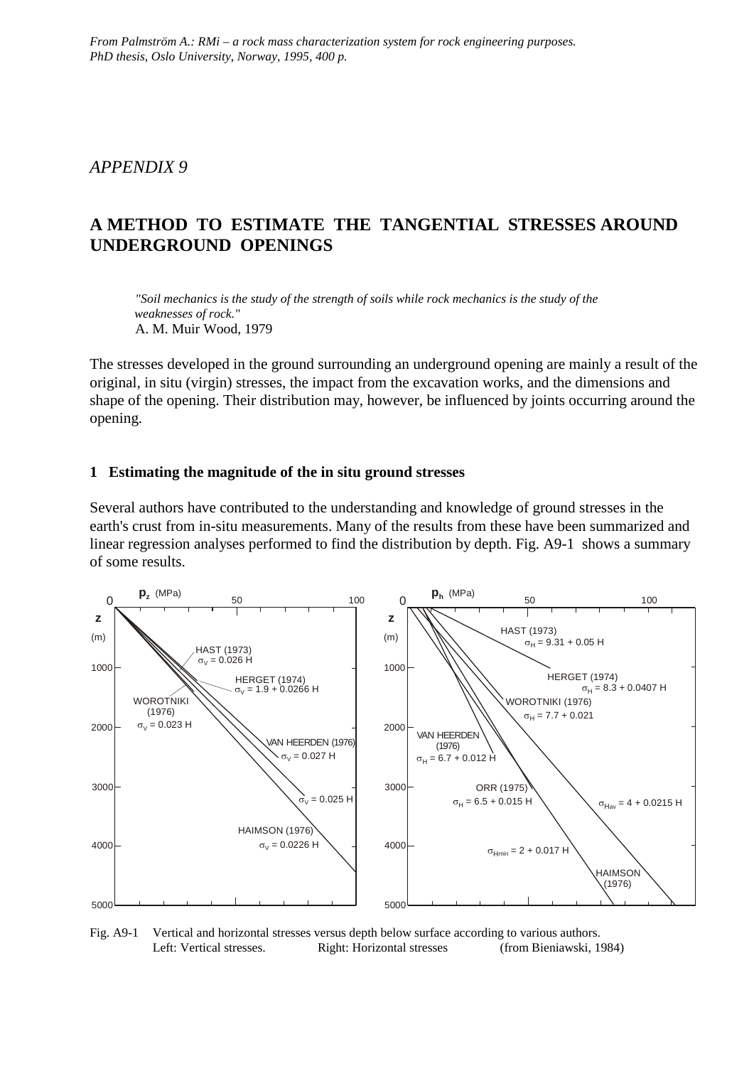## *APPENDIX 9*

# **A METHOD TO ESTIMATE THE TANGENTIAL STRESSES AROUND UNDERGROUND OPENINGS**

*"Soil mechanics is the study of the strength of soils while rock mechanics is the study of the weaknesses of rock."* A. M. Muir Wood, 1979

The stresses developed in the ground surrounding an underground opening are mainly a result of the original, in situ (virgin) stresses, the impact from the excavation works, and the dimensions and shape of the opening. Their distribution may, however, be influenced by joints occurring around the opening.

#### **1 Estimating the magnitude of the in situ ground stresses**

Several authors have contributed to the understanding and knowledge of ground stresses in the earth's crust from in-situ measurements. Many of the results from these have been summarized and linear regression analyses performed to find the distribution by depth. Fig. A9-1 shows a summary of some results.



Fig. A9-1 Vertical and horizontal stresses versus depth below surface according to various authors. Left: Vertical stresses. Right: Horizontal stresses (from Bieniawski, 1984)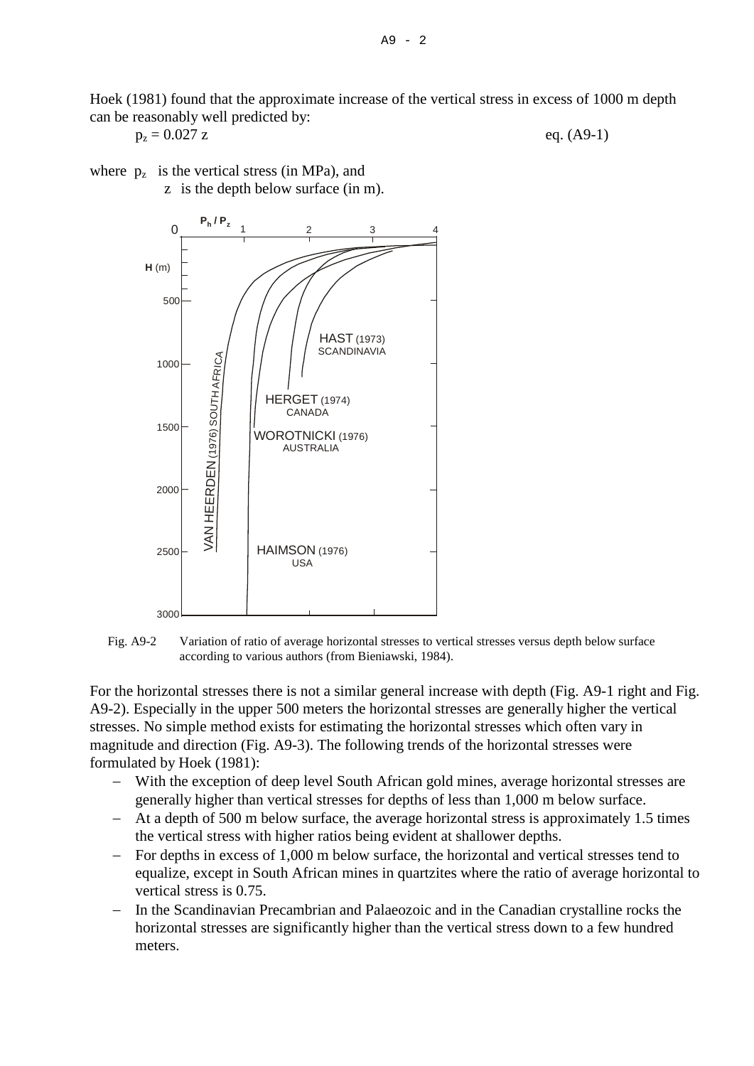Hoek (1981) found that the approximate increase of the vertical stress in excess of 1000 m depth can be reasonably well predicted by:

$$
p_z = 0.027 z
$$
 eq. (A9-1)

where  $p_z$  is the vertical stress (in MPa), and z is the depth below surface (in m).





For the horizontal stresses there is not a similar general increase with depth (Fig. A9-1 right and Fig. A9-2). Especially in the upper 500 meters the horizontal stresses are generally higher the vertical stresses. No simple method exists for estimating the horizontal stresses which often vary in magnitude and direction (Fig. A9-3). The following trends of the horizontal stresses were formulated by Hoek (1981):

- − With the exception of deep level South African gold mines, average horizontal stresses are generally higher than vertical stresses for depths of less than 1,000 m below surface.
- − At a depth of 500 m below surface, the average horizontal stress is approximately 1.5 times the vertical stress with higher ratios being evident at shallower depths.
- − For depths in excess of 1,000 m below surface, the horizontal and vertical stresses tend to equalize, except in South African mines in quartzites where the ratio of average horizontal to vertical stress is 0.75.
- In the Scandinavian Precambrian and Palaeozoic and in the Canadian crystalline rocks the horizontal stresses are significantly higher than the vertical stress down to a few hundred meters.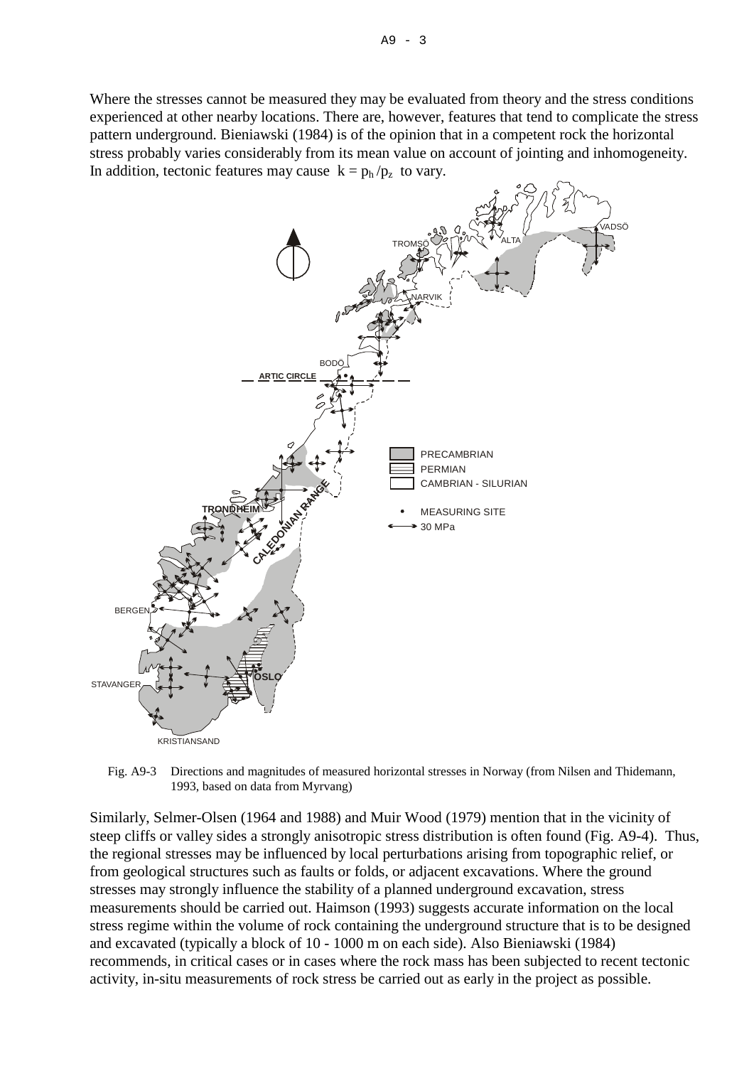

Fig. A9-3 Directions and magnitudes of measured horizontal stresses in Norway (from Nilsen and Thidemann, 1993, based on data from Myrvang)

Similarly, Selmer-Olsen (1964 and 1988) and Muir Wood (1979) mention that in the vicinity of steep cliffs or valley sides a strongly anisotropic stress distribution is often found (Fig. A9-4). Thus, the regional stresses may be influenced by local perturbations arising from topographic relief, or from geological structures such as faults or folds, or adjacent excavations. Where the ground stresses may strongly influence the stability of a planned underground excavation, stress measurements should be carried out. Haimson (1993) suggests accurate information on the local stress regime within the volume of rock containing the underground structure that is to be designed and excavated (typically a block of 10 - 1000 m on each side). Also Bieniawski (1984) recommends, in critical cases or in cases where the rock mass has been subjected to recent tectonic activity, in-situ measurements of rock stress be carried out as early in the project as possible.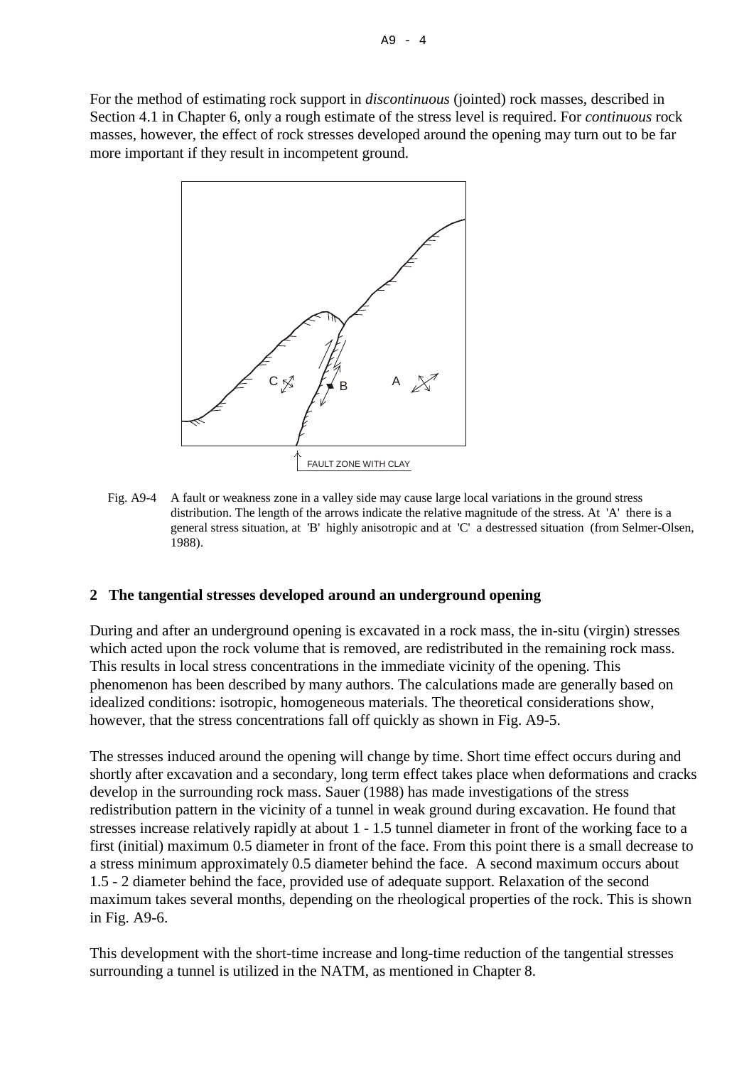For the method of estimating rock support in *discontinuous* (jointed) rock masses, described in Section 4.1 in Chapter 6, only a rough estimate of the stress level is required. For *continuous* rock masses, however, the effect of rock stresses developed around the opening may turn out to be far more important if they result in incompetent ground.



Fig. A9-4 A fault or weakness zone in a valley side may cause large local variations in the ground stress distribution. The length of the arrows indicate the relative magnitude of the stress. At 'A' there is a general stress situation, at 'B' highly anisotropic and at 'C' a destressed situation (from Selmer-Olsen, 1988).

### **2 The tangential stresses developed around an underground opening**

During and after an underground opening is excavated in a rock mass, the in-situ (virgin) stresses which acted upon the rock volume that is removed, are redistributed in the remaining rock mass. This results in local stress concentrations in the immediate vicinity of the opening. This phenomenon has been described by many authors. The calculations made are generally based on idealized conditions: isotropic, homogeneous materials. The theoretical considerations show, however, that the stress concentrations fall off quickly as shown in Fig. A9-5.

The stresses induced around the opening will change by time. Short time effect occurs during and shortly after excavation and a secondary, long term effect takes place when deformations and cracks develop in the surrounding rock mass. Sauer (1988) has made investigations of the stress redistribution pattern in the vicinity of a tunnel in weak ground during excavation. He found that stresses increase relatively rapidly at about 1 - 1.5 tunnel diameter in front of the working face to a first (initial) maximum 0.5 diameter in front of the face. From this point there is a small decrease to a stress minimum approximately 0.5 diameter behind the face. A second maximum occurs about 1.5 - 2 diameter behind the face, provided use of adequate support. Relaxation of the second maximum takes several months, depending on the rheological properties of the rock. This is shown in Fig. A9-6.

This development with the short-time increase and long-time reduction of the tangential stresses surrounding a tunnel is utilized in the NATM, as mentioned in Chapter 8.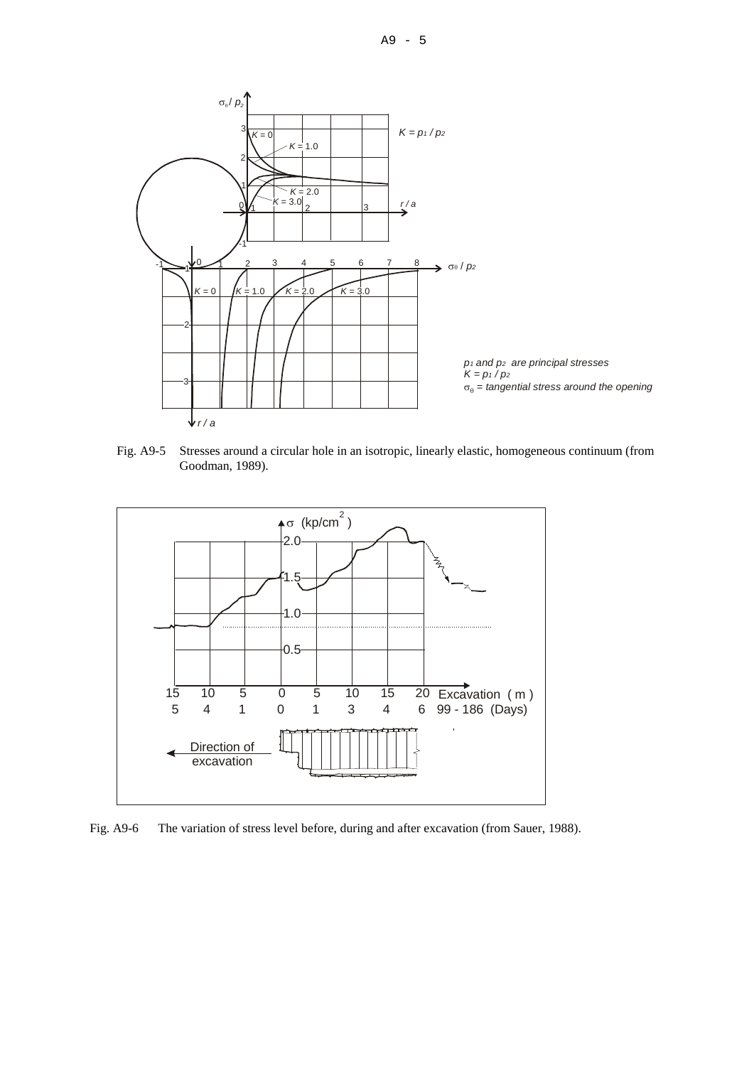

Fig. A9-5 Stresses around a circular hole in an isotropic, linearly elastic, homogeneous continuum (from Goodman, 1989).



Fig. A9-6 The variation of stress level before, during and after excavation (from Sauer, 1988).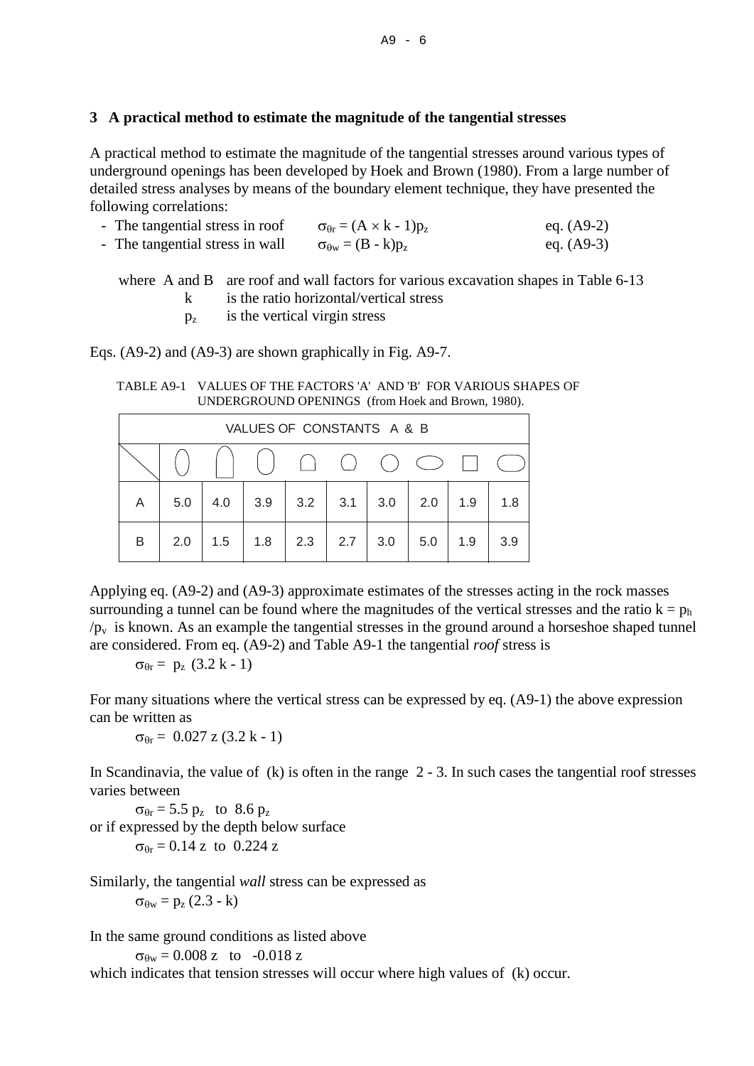#### **3 A practical method to estimate the magnitude of the tangential stresses**

A practical method to estimate the magnitude of the tangential stresses around various types of underground openings has been developed by Hoek and Brown (1980). From a large number of detailed stress analyses by means of the boundary element technique, they have presented the following correlations:

| - The tangential stress in roof | $\sigma_{\theta r} = (A \times k - 1)p_z$ | eq. $(A9-2)$ |
|---------------------------------|-------------------------------------------|--------------|
| - The tangential stress in wall | $\sigma_{\theta w} = (B - k)p_z$          | eq. $(A9-3)$ |

where A and B are roof and wall factors for various excavation shapes in Table 6-13

- k is the ratio horizontal/vertical stress
- $p_z$  is the vertical virgin stress

Eqs. (A9-2) and (A9-3) are shown graphically in Fig. A9-7.

TABLE A9-1 VALUES OF THE FACTORS 'A' AND 'B' FOR VARIOUS SHAPES OF UNDERGROUND OPENINGS (from Hoek and Brown, 1980).

| VALUES OF CONSTANTS A & B |     |     |     |     |        |                                             |            |     |     |  |
|---------------------------|-----|-----|-----|-----|--------|---------------------------------------------|------------|-----|-----|--|
|                           |     |     |     |     | $(\ )$ | $\left(\begin{array}{c} \end{array}\right)$ | $\bigcirc$ |     |     |  |
| A                         | 5.0 | 4.0 | 3.9 | 3.2 | 3.1    | 3.0                                         | 2.0        | 1.9 | 1.8 |  |
| B                         | 2.0 | 1.5 | 1.8 | 2.3 | 2.7    | 3.0                                         | 5.0        | 1.9 | 3.9 |  |

Applying eq. (A9-2) and (A9-3) approximate estimates of the stresses acting in the rock masses surrounding a tunnel can be found where the magnitudes of the vertical stresses and the ratio  $k = p_h$  $/p_v$  is known. As an example the tangential stresses in the ground around a horseshoe shaped tunnel are considered. From eq. (A9-2) and Table A9-1 the tangential *roof* stress is

 $\sigma_{\theta r} = p_z (3.2 \text{ k} - 1)$ 

For many situations where the vertical stress can be expressed by eq. (A9-1) the above expression can be written as

 $\sigma_{\theta r} = 0.027$  z (3.2 k - 1)

In Scandinavia, the value of  $(k)$  is often in the range  $2 - 3$ . In such cases the tangential roof stresses varies between

 $\sigma_{\theta r}$  = 5.5  $p_z$  to 8.6  $p_z$ or if expressed by the depth below surface  $\sigma_{\theta r} = 0.14$  z to 0.224 z

Similarly, the tangential *wall* stress can be expressed as  $σ<sub>θw</sub> = p<sub>z</sub> (2.3 - k)$ 

In the same ground conditions as listed above

 $\sigma_{\theta w} = 0.008$  z to -0.018 z

which indicates that tension stresses will occur where high values of (k) occur.